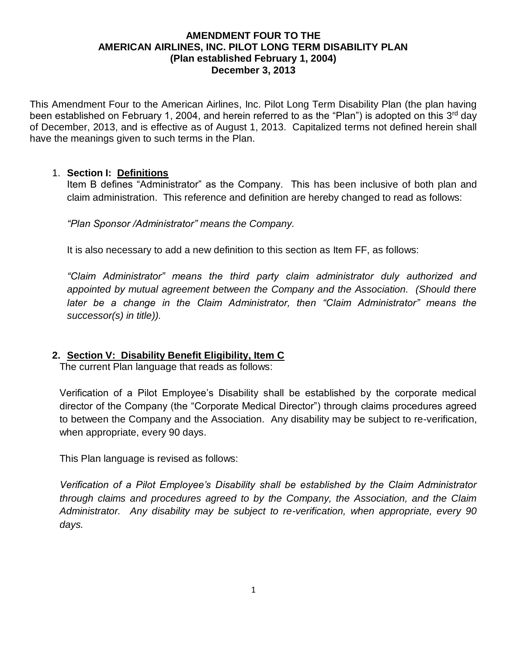#### **AMENDMENT FOUR TO THE AMERICAN AIRLINES, INC. PILOT LONG TERM DISABILITY PLAN (Plan established February 1, 2004) December 3, 2013**

This Amendment Four to the American Airlines, Inc. Pilot Long Term Disability Plan (the plan having been established on February 1, 2004, and herein referred to as the "Plan") is adopted on this 3<sup>rd</sup> day of December, 2013, and is effective as of August 1, 2013. Capitalized terms not defined herein shall have the meanings given to such terms in the Plan.

#### 1. **Section I: Definitions**

Item B defines "Administrator" as the Company. This has been inclusive of both plan and claim administration. This reference and definition are hereby changed to read as follows:

*"Plan Sponsor /Administrator" means the Company.*

It is also necessary to add a new definition to this section as Item FF, as follows:

*"Claim Administrator" means the third party claim administrator duly authorized and appointed by mutual agreement between the Company and the Association. (Should there later be a change in the Claim Administrator, then "Claim Administrator" means the successor(s) in title)).*

## **2. Section V: Disability Benefit Eligibility, Item C**

The current Plan language that reads as follows:

Verification of a Pilot Employee's Disability shall be established by the corporate medical director of the Company (the "Corporate Medical Director") through claims procedures agreed to between the Company and the Association. Any disability may be subject to re-verification, when appropriate, every 90 days.

This Plan language is revised as follows:

*Verification of a Pilot Employee's Disability shall be established by the Claim Administrator through claims and procedures agreed to by the Company, the Association, and the Claim Administrator. Any disability may be subject to re-verification, when appropriate, every 90 days.*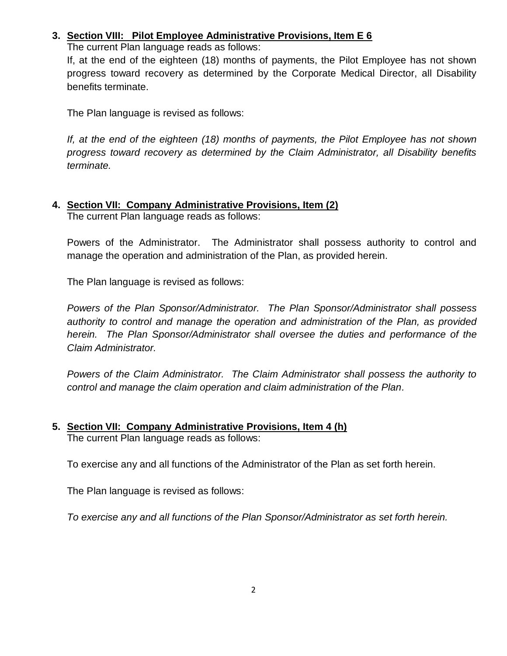# **3. Section VIII: Pilot Employee Administrative Provisions, Item E 6**

The current Plan language reads as follows:

If, at the end of the eighteen (18) months of payments, the Pilot Employee has not shown progress toward recovery as determined by the Corporate Medical Director, all Disability benefits terminate.

The Plan language is revised as follows:

*If, at the end of the eighteen (18) months of payments, the Pilot Employee has not shown progress toward recovery as determined by the Claim Administrator, all Disability benefits terminate.*

# **4. Section VII: Company Administrative Provisions, Item (2)**

The current Plan language reads as follows:

Powers of the Administrator. The Administrator shall possess authority to control and manage the operation and administration of the Plan, as provided herein.

The Plan language is revised as follows:

*Powers of the Plan Sponsor/Administrator. The Plan Sponsor/Administrator shall possess authority to control and manage the operation and administration of the Plan, as provided herein. The Plan Sponsor/Administrator shall oversee the duties and performance of the Claim Administrator.*

*Powers of the Claim Administrator. The Claim Administrator shall possess the authority to control and manage the claim operation and claim administration of the Plan.*

#### **5. Section VII: Company Administrative Provisions, Item 4 (h)** The current Plan language reads as follows:

To exercise any and all functions of the Administrator of the Plan as set forth herein.

The Plan language is revised as follows:

*To exercise any and all functions of the Plan Sponsor/Administrator as set forth herein.*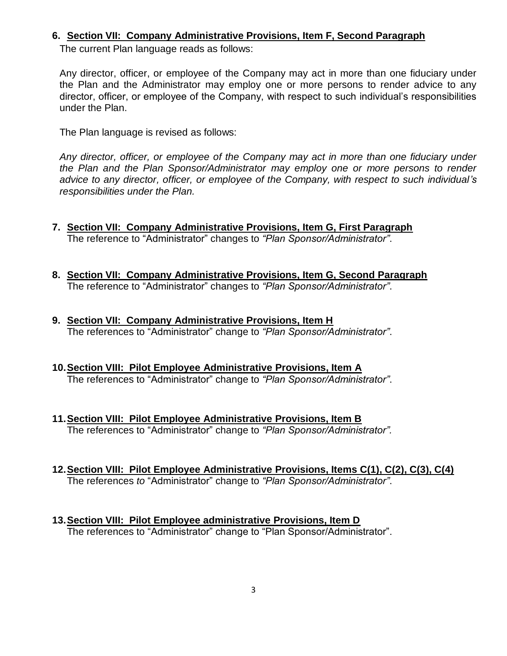#### **6. Section VII: Company Administrative Provisions, Item F, Second Paragraph**

The current Plan language reads as follows:

Any director, officer, or employee of the Company may act in more than one fiduciary under the Plan and the Administrator may employ one or more persons to render advice to any director, officer, or employee of the Company, with respect to such individual's responsibilities under the Plan.

The Plan language is revised as follows:

*Any director, officer, or employee of the Company may act in more than one fiduciary under the Plan and the Plan Sponsor/Administrator may employ one or more persons to render advice to any director, officer, or employee of the Company, with respect to such individual's responsibilities under the Plan.*

- **7. Section VII: Company Administrative Provisions, Item G, First Paragraph** The reference to "Administrator" changes to *"Plan Sponsor/Administrator"*.
- **8. Section VII: Company Administrative Provisions, Item G, Second Paragraph** The reference to "Administrator" changes to *"Plan Sponsor/Administrator"*.
- **9. Section VII: Company Administrative Provisions, Item H** The references to "Administrator" change to *"Plan Sponsor/Administrator"*.
- **10.Section VIII: Pilot Employee Administrative Provisions, Item A** The references to "Administrator" change to *"Plan Sponsor/Administrator"*.
- **11.Section VIII: Pilot Employee Administrative Provisions, Item B** The references to "Administrator" change to *"Plan Sponsor/Administrator".*
- **12.Section VIII: Pilot Employee Administrative Provisions, Items C(1), C(2), C(3), C(4)**  The references *to* "Administrator" change to *"Plan Sponsor/Administrator"*.
- **13.Section VIII: Pilot Employee administrative Provisions, Item D** The references to "Administrator" change to "Plan Sponsor/Administrator".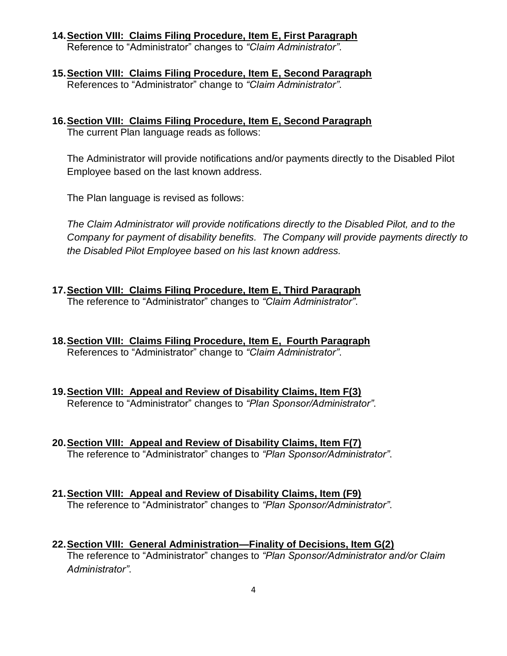- **14.Section VIII: Claims Filing Procedure, Item E, First Paragraph** Reference to "Administrator" changes to *"Claim Administrator"*.
- **15.Section VIII: Claims Filing Procedure, Item E, Second Paragraph** References to "Administrator" change to *"Claim Administrator"*.
- **16.Section VIII: Claims Filing Procedure, Item E, Second Paragraph** The current Plan language reads as follows:

The Administrator will provide notifications and/or payments directly to the Disabled Pilot Employee based on the last known address.

The Plan language is revised as follows:

*The Claim Administrator will provide notifications directly to the Disabled Pilot, and to the Company for payment of disability benefits. The Company will provide payments directly to the Disabled Pilot Employee based on his last known address.*

- **17.Section VIII: Claims Filing Procedure, Item E, Third Paragraph** The reference to "Administrator" changes to *"Claim Administrator"*.
- **18.Section VIII: Claims Filing Procedure, Item E, Fourth Paragraph** References to "Administrator" change to *"Claim Administrator"*.
- **19.Section VIII: Appeal and Review of Disability Claims, Item F(3)** Reference to "Administrator" changes to *"Plan Sponsor/Administrator"*.
- **20.Section VIII: Appeal and Review of Disability Claims, Item F(7)** The reference to "Administrator" changes to *"Plan Sponsor/Administrator"*.
- **21.Section VIII: Appeal and Review of Disability Claims, Item (F9)** The reference to "Administrator" changes to *"Plan Sponsor/Administrator"*.
- **22.Section VIII: General Administration—Finality of Decisions, Item G(2)** The reference to "Administrator" changes to *"Plan Sponsor/Administrator and/or Claim Administrator"*.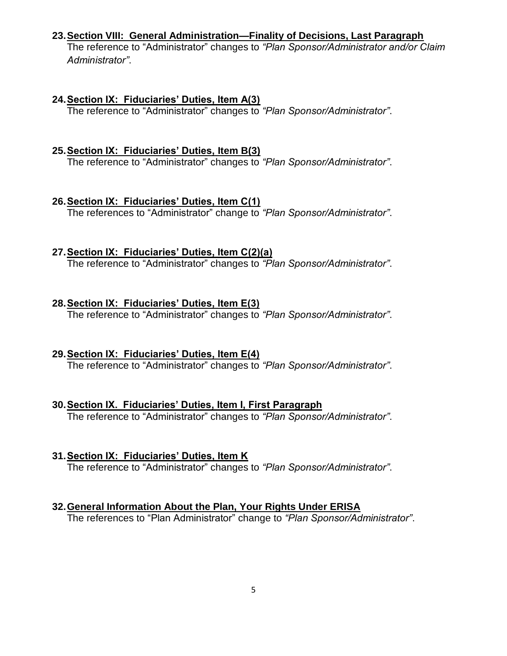#### **23.Section VIII: General Administration—Finality of Decisions, Last Paragraph**

The reference to "Administrator" changes to *"Plan Sponsor/Administrator and/or Claim Administrator"*.

#### **24.Section IX: Fiduciaries' Duties, Item A(3)**

The reference to "Administrator" changes to *"Plan Sponsor/Administrator"*.

## **25.Section IX: Fiduciaries' Duties, Item B(3)**

The reference to "Administrator" changes to *"Plan Sponsor/Administrator"*.

## **26.Section IX: Fiduciaries' Duties, Item C(1)**

The references to "Administrator" change to *"Plan Sponsor/Administrator"*.

## **27.Section IX: Fiduciaries' Duties, Item C(2)(a)**

The reference to "Administrator" changes to *"Plan Sponsor/Administrator"*.

## **28.Section IX: Fiduciaries' Duties, Item E(3)**

The reference to "Administrator" changes to *"Plan Sponsor/Administrator"*.

# **29.Section IX: Fiduciaries' Duties, Item E(4)**

The reference to "Administrator" changes to *"Plan Sponsor/Administrator"*.

# **30.Section IX. Fiduciaries' Duties, Item I, First Paragraph**

The reference to "Administrator" changes to *"Plan Sponsor/Administrator"*.

## **31.Section IX: Fiduciaries' Duties, Item K**

The reference to "Administrator" changes to *"Plan Sponsor/Administrator"*.

# **32.General Information About the Plan, Your Rights Under ERISA**

The references to "Plan Administrator" change to *"Plan Sponsor/Administrator"*.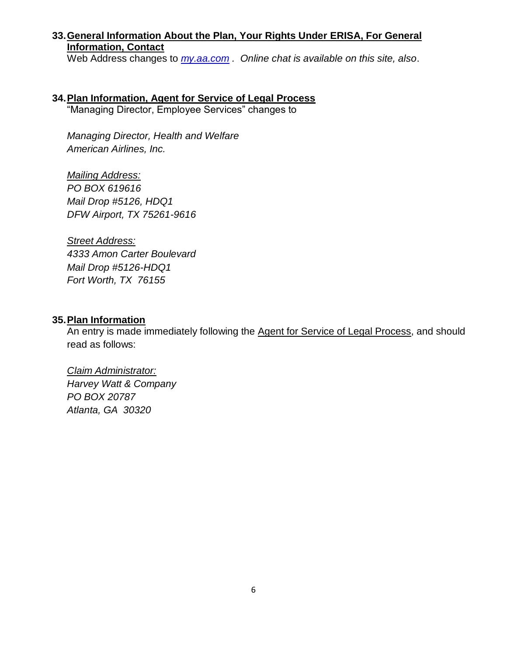## **33.General Information About the Plan, Your Rights Under ERISA, For General Information, Contact**

Web Address changes to *my.aa.com . Online chat is available on this site, also*.

# **34.Plan Information, Agent for Service of Legal Process**

"Managing Director, Employee Services" changes to

*Managing Director, Health and Welfare American Airlines, Inc.*

*Mailing Address: PO BOX 619616 Mail Drop #5126, HDQ1 DFW Airport, TX 75261-9616*

*Street Address: 4333 Amon Carter Boulevard Mail Drop #5126-HDQ1 Fort Worth, TX 76155*

#### **35.Plan Information**

An entry is made immediately following the Agent for Service of Legal Process, and should read as follows:

*Claim Administrator: Harvey Watt & Company PO BOX 20787 Atlanta, GA 30320*